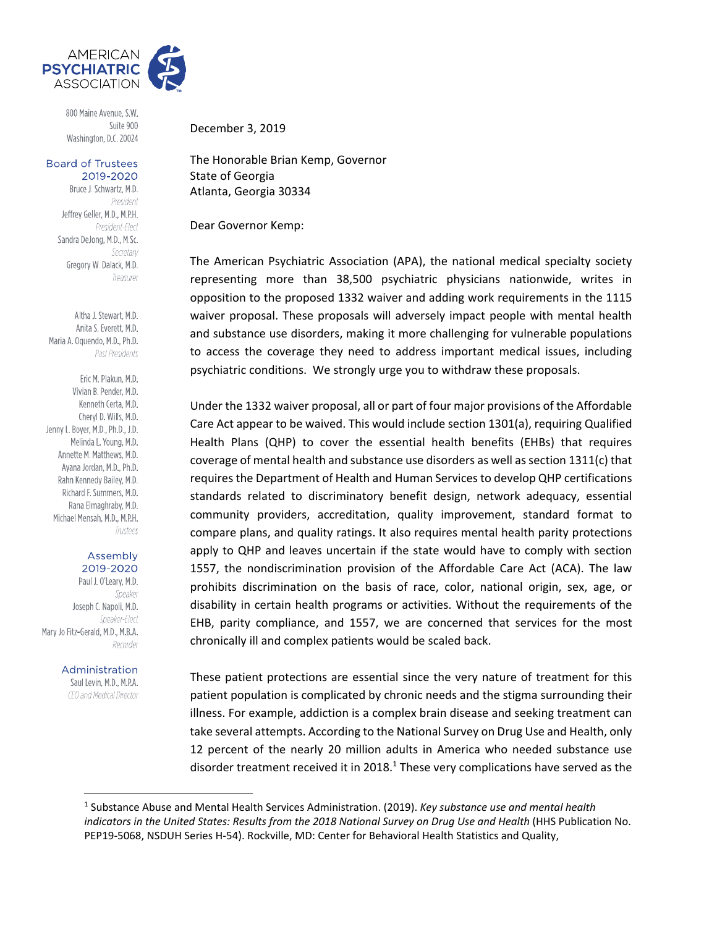

800 Maine Avenue, S.W. Suite 900 Washington, D.C. 20024

## **Board of Trustees** 2019-2020

Bruce J. Schwartz, M.D. President Jeffrey Geller, M.D., M.P.H. President-Elect Sandra DeJong, M.D., M.Sc. Secretary Gregory W. Dalack, M.D. Treasurer

Altha J. Stewart, M.D. Anita S. Everett, M.D. Maria A. Oquendo, M.D., Ph.D. Past Presidents

Eric M. Plakun, M.D. Vivian B. Pender, M.D. Kenneth Certa, M.D. Cheryl D. Wills, M.D. Jenny L. Boyer, M.D., Ph.D., J.D. Melinda L. Young, M.D. Annette M. Matthews, M.D. Ayana Jordan, M.D., Ph.D. Rahn Kennedy Bailey, M.D. Richard F. Summers, M.D. Rana Elmaghraby, M.D. Michael Mensah, M.D., M.P.H. Trustees

## Assembly 2019-2020

Paul J. O'Leary, M.D. Speaker Joseph C. Napoli, M.D. Speaker-Flect Mary Jo Fitz-Gerald, M.D., M.B.A. Recorder

## Administration

Saul Levin, M.D., M.P.A. CEO and Medical Director December 3, 2019

The Honorable Brian Kemp, Governor State of Georgia Atlanta, Georgia 30334

Dear Governor Kemp:

The American Psychiatric Association (APA), the national medical specialty society representing more than 38,500 psychiatric physicians nationwide, writes in opposition to the proposed 1332 waiver and adding work requirements in the 1115 waiver proposal. These proposals will adversely impact people with mental health and substance use disorders, making it more challenging for vulnerable populations to access the coverage they need to address important medical issues, including psychiatric conditions. We strongly urge you to withdraw these proposals.

Under the 1332 waiver proposal, all or part of four major provisions of the Affordable Care Act appear to be waived. This would include section 1301(a), requiring Qualified Health Plans (QHP) to cover the essential health benefits (EHBs) that requires coverage of mental health and substance use disorders as well as section  $1311(c)$  that requires the Department of Health and Human Services to develop QHP certifications standards related to discriminatory benefit design, network adequacy, essential community providers, accreditation, quality improvement, standard format to compare plans, and quality ratings. It also requires mental health parity protections apply to QHP and leaves uncertain if the state would have to comply with section 1557, the nondiscrimination provision of the Affordable Care Act (ACA). The law prohibits discrimination on the basis of race, color, national origin, sex, age, or disability in certain health programs or activities. Without the requirements of the EHB, parity compliance, and 1557, we are concerned that services for the most chronically ill and complex patients would be scaled back.

These patient protections are essential since the very nature of treatment for this patient population is complicated by chronic needs and the stigma surrounding their illness. For example, addiction is a complex brain disease and seeking treatment can take several attempts. According to the National Survey on Drug Use and Health, only 12 percent of the nearly 20 million adults in America who needed substance use disorder treatment received it in 2018. $<sup>1</sup>$  These very complications have served as the</sup>

<sup>1</sup> Substance Abuse and Mental Health Services Administration. (2019). *Key substance use and mental health* indicators in the United States: Results from the 2018 National Survey on Drug Use and Health (HHS Publication No. PEP19‐5068, NSDUH Series H‐54). Rockville, MD: Center for Behavioral Health Statistics and Quality,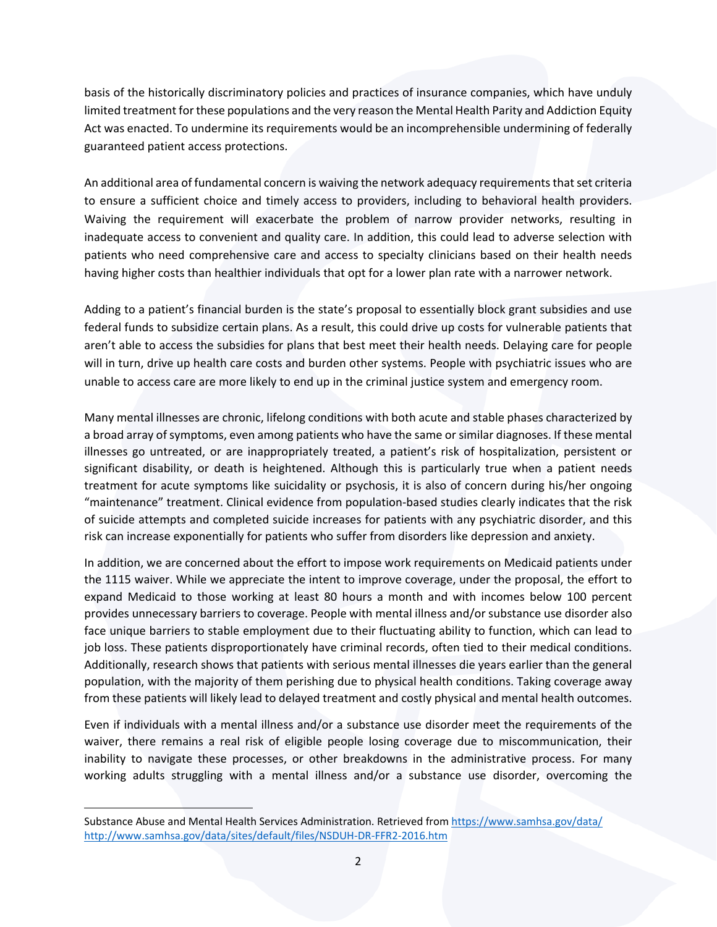basis of the historically discriminatory policies and practices of insurance companies, which have unduly limited treatment forthese populations and the very reason the Mental Health Parity and Addiction Equity Act was enacted. To undermine its requirements would be an incomprehensible undermining of federally guaranteed patient access protections.

An additional area of fundamental concern is waiving the network adequacy requirements that set criteria to ensure a sufficient choice and timely access to providers, including to behavioral health providers. Waiving the requirement will exacerbate the problem of narrow provider networks, resulting in inadequate access to convenient and quality care. In addition, this could lead to adverse selection with patients who need comprehensive care and access to specialty clinicians based on their health needs having higher costs than healthier individuals that opt for a lower plan rate with a narrower network.

Adding to a patient's financial burden is the state's proposal to essentially block grant subsidies and use federal funds to subsidize certain plans. As a result, this could drive up costs for vulnerable patients that aren't able to access the subsidies for plans that best meet their health needs. Delaying care for people will in turn, drive up health care costs and burden other systems. People with psychiatric issues who are unable to access care are more likely to end up in the criminal justice system and emergency room.

Many mental illnesses are chronic, lifelong conditions with both acute and stable phases characterized by a broad array of symptoms, even among patients who have the same or similar diagnoses. If these mental illnesses go untreated, or are inappropriately treated, a patient's risk of hospitalization, persistent or significant disability, or death is heightened. Although this is particularly true when a patient needs treatment for acute symptoms like suicidality or psychosis, it is also of concern during his/her ongoing "maintenance" treatment. Clinical evidence from population‐based studies clearly indicates that the risk of suicide attempts and completed suicide increases for patients with any psychiatric disorder, and this risk can increase exponentially for patients who suffer from disorders like depression and anxiety.

In addition, we are concerned about the effort to impose work requirements on Medicaid patients under the 1115 waiver. While we appreciate the intent to improve coverage, under the proposal, the effort to expand Medicaid to those working at least 80 hours a month and with incomes below 100 percent provides unnecessary barriers to coverage. People with mental illness and/or substance use disorder also face unique barriers to stable employment due to their fluctuating ability to function, which can lead to job loss. These patients disproportionately have criminal records, often tied to their medical conditions. Additionally, research shows that patients with serious mental illnesses die years earlier than the general population, with the majority of them perishing due to physical health conditions. Taking coverage away from these patients will likely lead to delayed treatment and costly physical and mental health outcomes.

Even if individuals with a mental illness and/or a substance use disorder meet the requirements of the waiver, there remains a real risk of eligible people losing coverage due to miscommunication, their inability to navigate these processes, or other breakdowns in the administrative process. For many working adults struggling with a mental illness and/or a substance use disorder, overcoming the

Substance Abuse and Mental Health Services Administration. Retrieved from https://www.samhsa.gov/data/ http://www.samhsa.gov/data/sites/default/files/NSDUH‐DR‐FFR2‐2016.htm